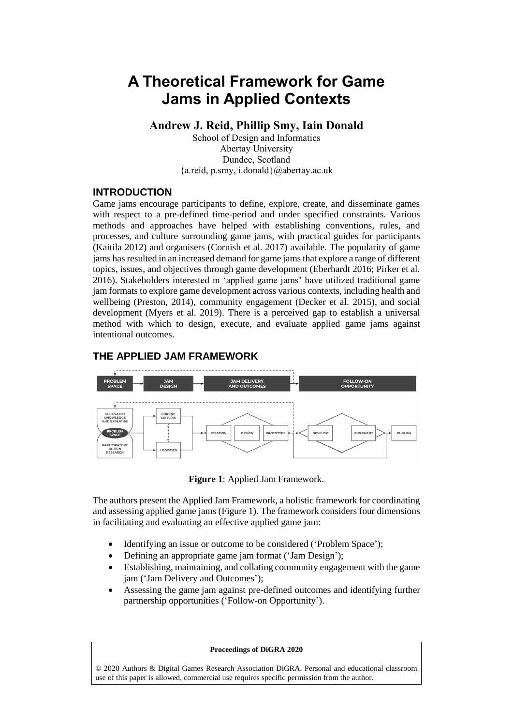# **A Theoretical Framework for Game Jams in Applied Contexts**

**Andrew J. Reid, Phillip Smy, Iain Donald**

School of Design and Informatics Abertay University Dundee, Scotland {a.reid, p.smy, i.donald}@abertay.ac.uk

#### **INTRODUCTION**

Game jams encourage participants to define, explore, create, and disseminate games with respect to a pre-defined time-period and under specified constraints. Various methods and approaches have helped with establishing conventions, rules, and processes, and culture surrounding game jams, with practical guides for participants (Kaitila 2012) and organisers (Cornish et al. 2017) available. The popularity of game jams has resulted in an increased demand for game jams that explore a range of different topics, issues, and objectives through game development (Eberhardt 2016; Pirker et al. 2016). Stakeholders interested in 'applied game jams' have utilized traditional game jam formats to explore game development across various contexts, including health and wellbeing (Preston, 2014), community engagement (Decker et al. 2015), and social development (Myers et al. 2019). There is a perceived gap to establish a universal method with which to design, execute, and evaluate applied game jams against intentional outcomes.

### **THE APPLIED JAM FRAMEWORK**



**Figure 1**: Applied Jam Framework.

The authors present the Applied Jam Framework, a holistic framework for coordinating and assessing applied game jams (Figure 1). The framework considers four dimensions in facilitating and evaluating an effective applied game jam:

- Identifying an issue or outcome to be considered ('Problem Space');
- Defining an appropriate game jam format ('Jam Design');
- Establishing, maintaining, and collating community engagement with the game jam ('Jam Delivery and Outcomes');
- Assessing the game jam against pre-defined outcomes and identifying further partnership opportunities ('Follow-on Opportunity').

#### **Proceedings of DiGRA 2020**

© 2020 Authors & Digital Games Research Association DiGRA. Personal and educational classroom use of this paper is allowed, commercial use requires specific permission from the author.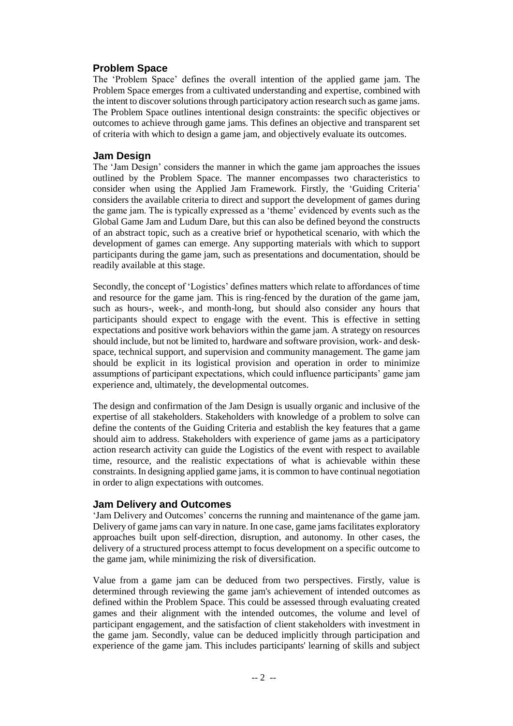# **Problem Space**

The 'Problem Space' defines the overall intention of the applied game jam. The Problem Space emerges from a cultivated understanding and expertise, combined with the intent to discover solutions through participatory action research such as game jams. The Problem Space outlines intentional design constraints: the specific objectives or outcomes to achieve through game jams. This defines an objective and transparent set of criteria with which to design a game jam, and objectively evaluate its outcomes.

#### **Jam Design**

The 'Jam Design' considers the manner in which the game jam approaches the issues outlined by the Problem Space. The manner encompasses two characteristics to consider when using the Applied Jam Framework. Firstly, the 'Guiding Criteria' considers the available criteria to direct and support the development of games during the game jam. The is typically expressed as a 'theme' evidenced by events such as the Global Game Jam and Ludum Dare, but this can also be defined beyond the constructs of an abstract topic, such as a creative brief or hypothetical scenario, with which the development of games can emerge. Any supporting materials with which to support participants during the game jam, such as presentations and documentation, should be readily available at this stage.

Secondly, the concept of 'Logistics' defines matters which relate to affordances of time and resource for the game jam. This is ring-fenced by the duration of the game jam, such as hours-, week-, and month-long, but should also consider any hours that participants should expect to engage with the event. This is effective in setting expectations and positive work behaviors within the game jam. A strategy on resources should include, but not be limited to, hardware and software provision, work- and deskspace, technical support, and supervision and community management. The game jam should be explicit in its logistical provision and operation in order to minimize assumptions of participant expectations, which could influence participants' game jam experience and, ultimately, the developmental outcomes.

The design and confirmation of the Jam Design is usually organic and inclusive of the expertise of all stakeholders. Stakeholders with knowledge of a problem to solve can define the contents of the Guiding Criteria and establish the key features that a game should aim to address. Stakeholders with experience of game jams as a participatory action research activity can guide the Logistics of the event with respect to available time, resource, and the realistic expectations of what is achievable within these constraints. In designing applied game jams, it is common to have continual negotiation in order to align expectations with outcomes.

### **Jam Delivery and Outcomes**

'Jam Delivery and Outcomes' concerns the running and maintenance of the game jam. Delivery of game jams can vary in nature. In one case, game jams facilitates exploratory approaches built upon self-direction, disruption, and autonomy. In other cases, the delivery of a structured process attempt to focus development on a specific outcome to the game jam, while minimizing the risk of diversification.

Value from a game jam can be deduced from two perspectives. Firstly, value is determined through reviewing the game jam's achievement of intended outcomes as defined within the Problem Space. This could be assessed through evaluating created games and their alignment with the intended outcomes, the volume and level of participant engagement, and the satisfaction of client stakeholders with investment in the game jam. Secondly, value can be deduced implicitly through participation and experience of the game jam. This includes participants' learning of skills and subject